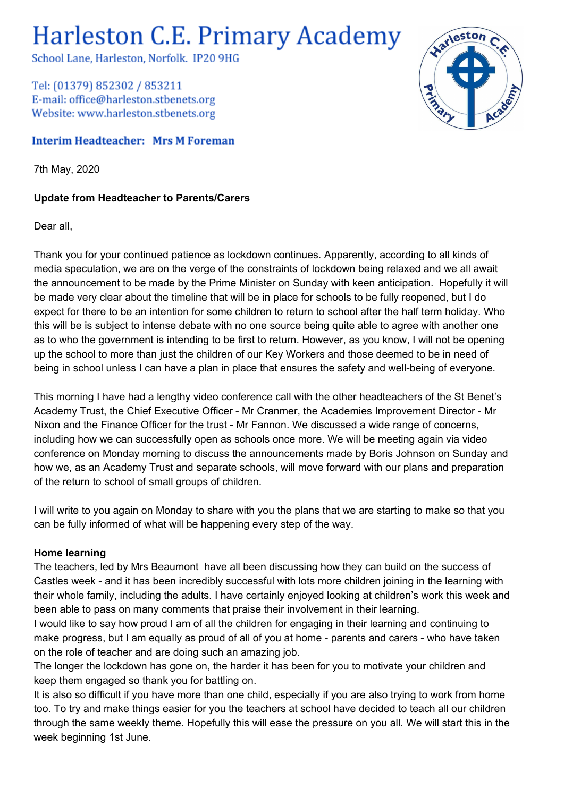# **Harleston C.E. Primary Academy**

School Lane, Harleston, Norfolk. IP20 9HG

Tel: (01379) 852302 / 853211 E-mail: office@harleston.stbenets.org Website: www.harleston.stbenets.org

### **Interim Headteacher: Mrs M Foreman**

7th May, 2020

## **Update from Headteacher to Parents/Carers**

#### Dear all,

Thank you for your continued patience as lockdown continues. Apparently, according to all kinds of media speculation, we are on the verge of the constraints of lockdown being relaxed and we all await the announcement to be made by the Prime Minister on Sunday with keen anticipation. Hopefully it will be made very clear about the timeline that will be in place for schools to be fully reopened, but I do expect for there to be an intention for some children to return to school after the half term holiday. Who this will be is subject to intense debate with no one source being quite able to agree with another one as to who the government is intending to be first to return. However, as you know, I will not be opening up the school to more than just the children of our Key Workers and those deemed to be in need of being in school unless I can have a plan in place that ensures the safety and well-being of everyone.

This morning I have had a lengthy video conference call with the other headteachers of the St Benet's Academy Trust, the Chief Executive Officer - Mr Cranmer, the Academies Improvement Director - Mr Nixon and the Finance Officer for the trust - Mr Fannon. We discussed a wide range of concerns, including how we can successfully open as schools once more. We will be meeting again via video conference on Monday morning to discuss the announcements made by Boris Johnson on Sunday and how we, as an Academy Trust and separate schools, will move forward with our plans and preparation of the return to school of small groups of children.

I will write to you again on Monday to share with you the plans that we are starting to make so that you can be fully informed of what will be happening every step of the way.

#### **Home learning**

The teachers, led by Mrs Beaumont have all been discussing how they can build on the success of Castles week - and it has been incredibly successful with lots more children joining in the learning with their whole family, including the adults. I have certainly enjoyed looking at children's work this week and been able to pass on many comments that praise their involvement in their learning.

I would like to say how proud I am of all the children for engaging in their learning and continuing to make progress, but I am equally as proud of all of you at home - parents and carers - who have taken on the role of teacher and are doing such an amazing job.

The longer the lockdown has gone on, the harder it has been for you to motivate your children and keep them engaged so thank you for battling on.

It is also so difficult if you have more than one child, especially if you are also trying to work from home too. To try and make things easier for you the teachers at school have decided to teach all our children through the same weekly theme. Hopefully this will ease the pressure on you all. We will start this in the week beginning 1st June.

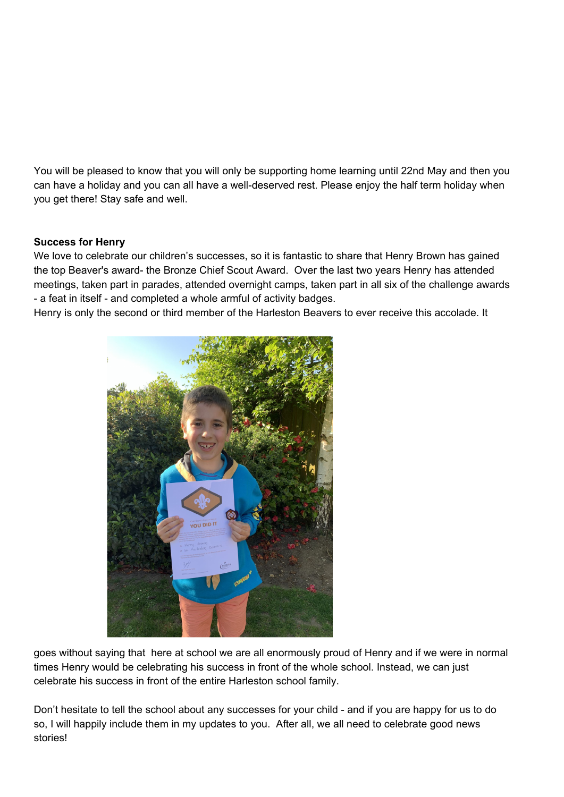You will be pleased to know that you will only be supporting home learning until 22nd May and then you can have a holiday and you can all have a well-deserved rest. Please enjoy the half term holiday when you get there! Stay safe and well.

#### **Success for Henry**

We love to celebrate our children's successes, so it is fantastic to share that Henry Brown has gained the top Beaver's award- the Bronze Chief Scout Award. Over the last two years Henry has attended meetings, taken part in parades, attended overnight camps, taken part in all six of the challenge awards - a feat in itself - and completed a whole armful of activity badges.

Henry is only the second or third member of the Harleston Beavers to ever receive this accolade. It



goes without saying that here at school we are all enormously proud of Henry and if we were in normal times Henry would be celebrating his success in front of the whole school. Instead, we can just celebrate his success in front of the entire Harleston school family.

Don't hesitate to tell the school about any successes for your child - and if you are happy for us to do so, I will happily include them in my updates to you. After all, we all need to celebrate good news stories!